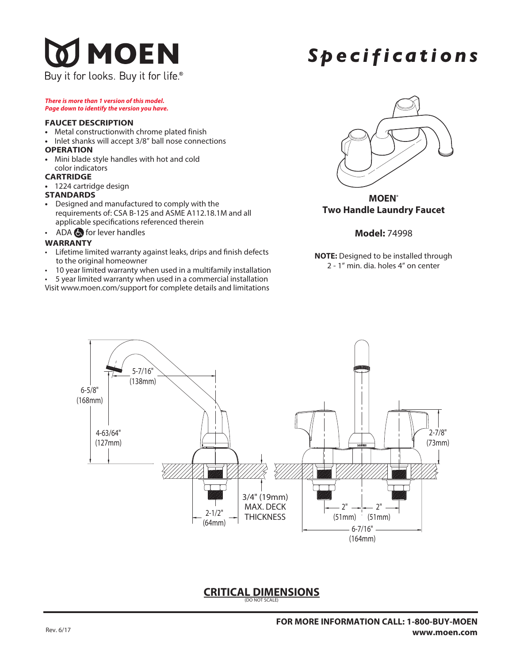# **JMOEN**

Buy it for looks. Buy it for life<sup>®</sup>

## *Spec i f i c a tions*

*There is more than 1 version of this model. Page down to identify the version you have.*

#### **FAUCET DESCRIPTION**

- **•** Metal constructionwith chrome plated finish
- **•** Inlet shanks will accept 3/8" ball nose connections

#### **OPERATION**

**•** Mini blade style handles with hot and cold color indicators

#### **CARTRIDGE**

**•** 1224 cartridge design

#### **STANDARDS**

- **•** Designed and manufactured to comply with the requirements of: CSA B-125 and ASME A112.18.1M and all applicable specifications referenced therein
- ADA  $\bigodot$  for lever handles

#### **WARRANTY**

- Lifetime limited warranty against leaks, drips and finish defects to the original homeowner
- 10 year limited warranty when used in a multifamily installation
- 5 year limited warranty when used in a commercial installation
- Visit www.moen.com/support for complete details and limitations



**MOEN® Two Handle Laundry Faucet** 

#### **Model:** 74998

**NOTE:** Designed to be installed through 2 - 1" min. dia. holes 4" on center



### **CRITICAL DIMENSIONS** (DO NOT SCALE)